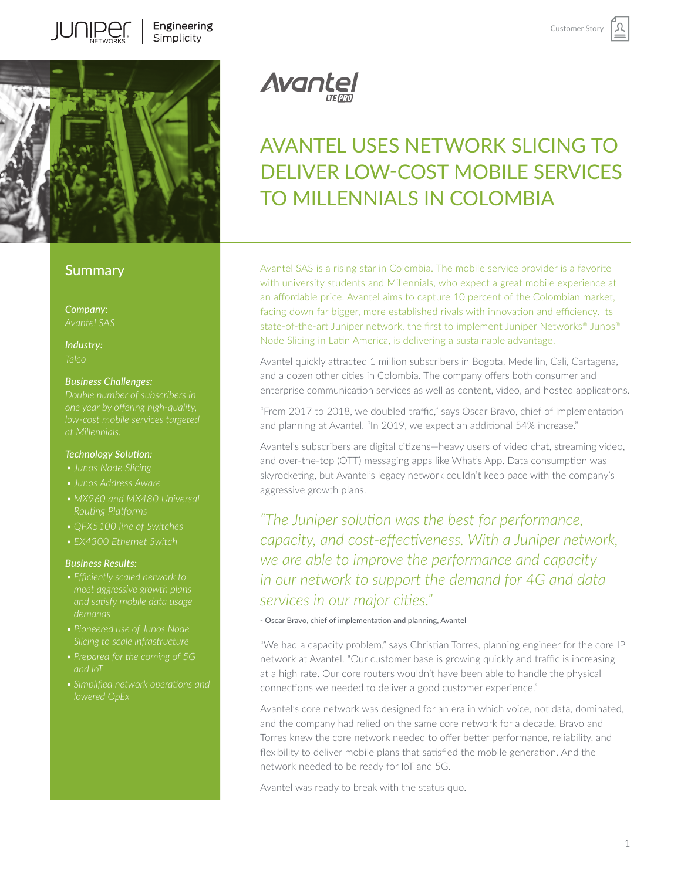

# **Summary**

*Company:*

*Industry:*

## *Business Challenges:*

## *Technology Solution:*

- 
- *• Junos Address Aware*
- 
- 
- 

## *Business Results:*

- *• Efficiently scaled network to meet aggressive growth plans*
- *• Pioneered use of Junos Node*
- *• Prepared for the coming of 5G and IoT*
- *lowered OpEx*

Avantel

# AVANTEL USES NETWORK SLICING TO DELIVER LOW-COST MOBILE SERVICES TO MILLENNIALS IN COLOMBIA

Customer Stor

Avantel SAS is a rising star in Colombia. The mobile service provider is a favorite with university students and Millennials, who expect a great mobile experience at an affordable price. Avantel aims to capture 10 percent of the Colombian market, facing down far bigger, more established rivals with innovation and efficiency. Its state-of-the-art Juniper network, the first to implement Juniper Networks® Junos® Node Slicing in Latin America, is delivering a sustainable advantage.

Avantel quickly attracted 1 million subscribers in Bogota, Medellin, Cali, Cartagena, and a dozen other cities in Colombia. The company offers both consumer and enterprise communication services as well as content, video, and hosted applications.

"From 2017 to 2018, we doubled traffic," says Oscar Bravo, chief of implementation and planning at Avantel. "In 2019, we expect an additional 54% increase."

Avantel's subscribers are digital citizens—heavy users of video chat, streaming video, and over-the-top (OTT) messaging apps like What's App. Data consumption was skyrocketing, but Avantel's legacy network couldn't keep pace with the company's aggressive growth plans.

*"The Juniper solution was the best for performance, capacity, and cost-effectiveness. With a Juniper network, we are able to improve the performance and capacity in our network to support the demand for 4G and data services in our major cities."*

## - Oscar Bravo, chief of implementation and planning, Avantel

"We had a capacity problem," says Christian Torres, planning engineer for the core IP network at Avantel. "Our customer base is growing quickly and traffic is increasing at a high rate. Our core routers wouldn't have been able to handle the physical connections we needed to deliver a good customer experience."

Avantel's core network was designed for an era in which voice, not data, dominated, and the company had relied on the same core network for a decade. Bravo and Torres knew the core network needed to offer better performance, reliability, and flexibility to deliver mobile plans that satisfied the mobile generation. And the network needed to be ready for IoT and 5G.

Avantel was ready to break with the status quo.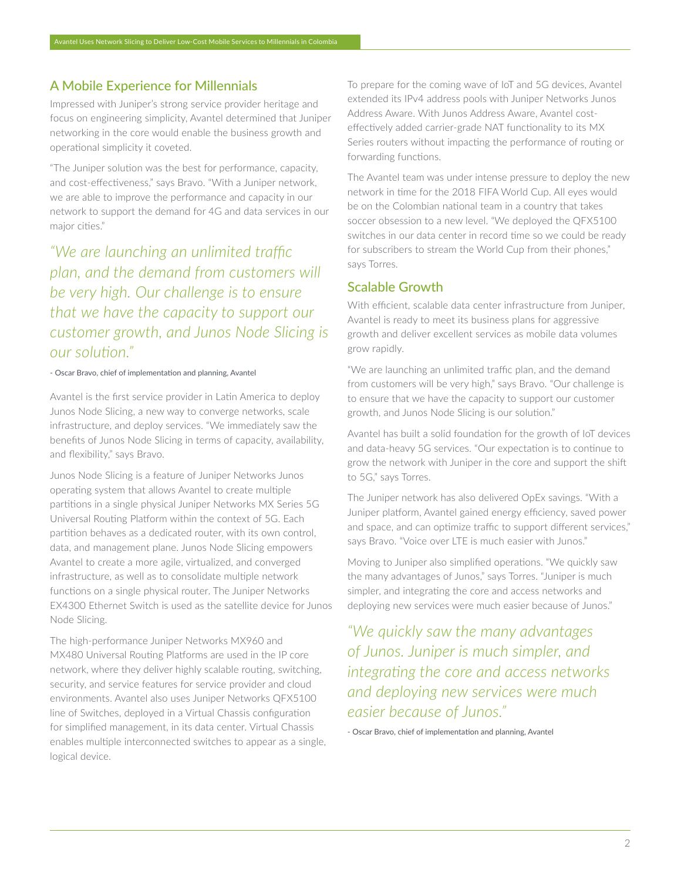## A Mobile Experience for Millennials

Impressed with Juniper's strong service provider heritage and focus on engineering simplicity, Avantel determined that Juniper networking in the core would enable the business growth and operational simplicity it coveted.

"The Juniper solution was the best for performance, capacity, and cost-effectiveness," says Bravo. "With a Juniper network, we are able to improve the performance and capacity in our network to support the demand for 4G and data services in our major cities."

*"We are launching an unlimited traffic plan, and the demand from customers will be very high. Our challenge is to ensure that we have the capacity to support our customer growth, and Junos Node Slicing is our solution."*

#### - Oscar Bravo, chief of implementation and planning, Avantel

Avantel is the first service provider in Latin America to deploy Junos Node Slicing, a new way to converge networks, scale infrastructure, and deploy services. "We immediately saw the benefits of Junos Node Slicing in terms of capacity, availability, and flexibility," says Bravo.

Junos Node Slicing is a feature of Juniper Networks Junos operating system that allows Avantel to create multiple partitions in a single physical Juniper Networks MX Series 5G Universal Routing Platform within the context of 5G. Each partition behaves as a dedicated router, with its own control, data, and management plane. Junos Node Slicing empowers Avantel to create a more agile, virtualized, and converged infrastructure, as well as to consolidate multiple network functions on a single physical router. The Juniper Networks EX4300 Ethernet Switch is used as the satellite device for Junos Node Slicing.

The high-performance Juniper Networks MX960 and MX480 Universal Routing Platforms are used in the IP core network, where they deliver highly scalable routing, switching, security, and service features for service provider and cloud environments. Avantel also uses Juniper Networks QFX5100 line of Switches, deployed in a Virtual Chassis configuration for simplified management, in its data center. Virtual Chassis enables multiple interconnected switches to appear as a single, logical device.

To prepare for the coming wave of IoT and 5G devices, Avantel extended its IPv4 address pools with Juniper Networks Junos Address Aware. With Junos Address Aware, Avantel costeffectively added carrier-grade NAT functionality to its MX Series routers without impacting the performance of routing or forwarding functions.

The Avantel team was under intense pressure to deploy the new network in time for the 2018 FIFA World Cup. All eyes would be on the Colombian national team in a country that takes soccer obsession to a new level. "We deployed the QFX5100 switches in our data center in record time so we could be ready for subscribers to stream the World Cup from their phones," says Torres.

## Scalable Growth

With efficient, scalable data center infrastructure from Juniper, Avantel is ready to meet its business plans for aggressive growth and deliver excellent services as mobile data volumes grow rapidly.

"We are launching an unlimited traffic plan, and the demand from customers will be very high," says Bravo. "Our challenge is to ensure that we have the capacity to support our customer growth, and Junos Node Slicing is our solution."

Avantel has built a solid foundation for the growth of IoT devices and data-heavy 5G services. "Our expectation is to continue to grow the network with Juniper in the core and support the shift to 5G," says Torres.

The Juniper network has also delivered OpEx savings. "With a Juniper platform, Avantel gained energy efficiency, saved power and space, and can optimize traffic to support different services," says Bravo. "Voice over LTE is much easier with Junos."

Moving to Juniper also simplified operations. "We quickly saw the many advantages of Junos," says Torres. "Juniper is much simpler, and integrating the core and access networks and deploying new services were much easier because of Junos."

*"We quickly saw the many advantages of Junos. Juniper is much simpler, and integrating the core and access networks and deploying new services were much easier because of Junos."* 

- Oscar Bravo, chief of implementation and planning, Avantel